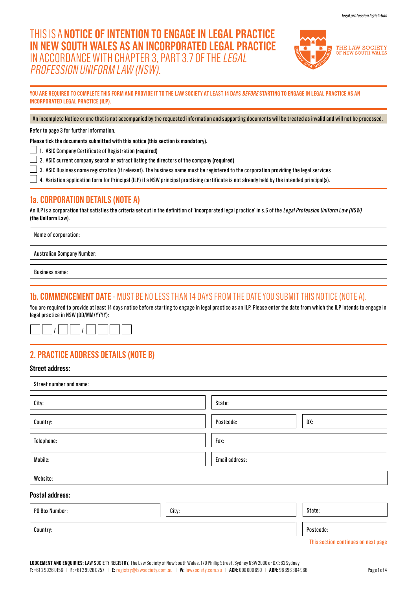# THIS IS A **NOTICE OF INTENTION TO ENGAGE IN LEGAL PRACTICE IN NEW SOUTH WALES AS AN INCORPORATED LEGAL PRACTICE**  IN ACCORDANCE WITH CHAPTER 3, PART 3.7 OF THE LEGAL PROFESSION UNIFORM LAW (NSW).



**YOU ARE REQUIRED TO COMPLETE THIS FORM AND PROVIDE IT TO THE LAW SOCIETY AT LEAST 14 DAYS BEFORE STARTING TO ENGAGE IN LEGAL PRACTICE AS AN INCORPORATED LEGAL PRACTICE (ILP).**

An incomplete Notice or one that is not accompanied by the requested information and supporting documents will be treated as invalid and will not be processed.

Refer to page 3 for further information.

**Please tick the documents submitted with this notice (this section is mandatory).** 

1. ASIC Company Certificate of Registration **(required)**

2. ASIC current company search or extract listing the directors of the company **(required)**

 $\Box$  3. ASIC Business name registration (if relevant). The business name must be registered to the corporation providing the legal services

 $\Box$  4. Variation application form for Principal (ILP) if a NSW principal practising certificate is not already held by the intended principal(s).

# **1a. CORPORATION DETAILS (NOTE A)**

An ILP is a corporation that satisfies the criteria set out in the definition of 'incorporated legal practice' in s.6 of the Legal Profession Uniform Law (NSW) (**the Uniform Law**).

Name of corporation:

Australian Company Number:

Business name:

### **1b. COMMENCEMENT DATE** - MUST BE NO LESS THAN 14 DAYS FROM THE DATE YOU SUBMIT THIS NOTICE (NOTE A).

You are required to provide at least 14 days notice before starting to engage in legal practice as an ILP. Please enter the date from which the ILP intends to engage in legal practice in NSW (DD/MM/YYYY):



# **2. PRACTICE ADDRESS DETAILS (NOTE B)**

### **Street address:**

| Street number and name: |       |                |           |  |
|-------------------------|-------|----------------|-----------|--|
| City:                   |       | State:         |           |  |
| Country:                |       | Postcode:      | DX:       |  |
| Telephone:              |       | Fax:           |           |  |
| Mobile:                 |       | Email address: |           |  |
| Website:                |       |                |           |  |
| Postal address:         |       |                |           |  |
| PO Box Number:          | City: |                | State:    |  |
| Country:                |       |                | Postcode: |  |

This section continues on next page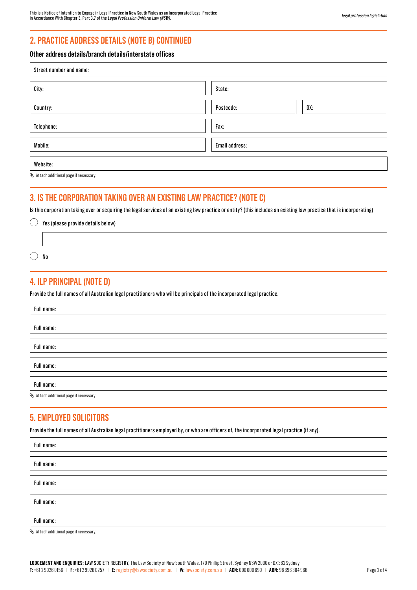# **2. PRACTICE ADDRESS DETAILS (NOTE B) CONTINUED**

### **Other address details/branch details/interstate offices**

| Street number and name: |                  |  |
|-------------------------|------------------|--|
| City:                   | State:           |  |
| Country:                | DX:<br>Postcode: |  |
| Telephone:              | Fax:             |  |
| Mobile:                 | Email address:   |  |
| Website:                |                  |  |

Attach additional page if necessary.

 $\overline{1}$ 

# **3. IS THE CORPORATION TAKING OVER AN EXISTING LAW PRACTICE? (NOTE C)**

Is this corporation taking over or acquiring the legal services of an existing law practice or entity? (this includes an existing law practice that is incorporating)

| $\bigcirc$ Yes (please provide details below) |
|-----------------------------------------------|
|                                               |
| No                                            |

## **4. ILP PRINCIPAL (NOTE D)**

Provide the full names of all Australian legal practitioners who will be principals of the incorporated legal practice.

| Full name:                                    |
|-----------------------------------------------|
|                                               |
| Full name:                                    |
|                                               |
| Full name:                                    |
|                                               |
| Full name:                                    |
|                                               |
| Full name:                                    |
| <b>S</b> Attach additional page if necessary. |

### **5. EMPLOYED SOLICITORS**

Provide the full names of all Australian legal practitioners employed by, or who are officers of, the incorporated legal practice (if any).

| Full name: |  |
|------------|--|
|            |  |
| Full name: |  |
| Full name: |  |
|            |  |
| Full name: |  |
| Full name: |  |

Attach additional page if necessary.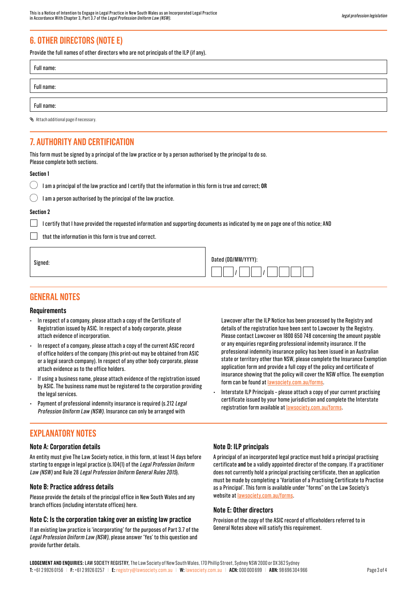# **6. OTHER DIRECTORS (NOTE E)**

Provide the full names of other directors who are not principals of the ILP (if any).

Full name:

Full name:

Attach additional page if necessary.

# **7. AUTHORITY AND CERTIFICATION**

This form must be signed by a principal of the law practice or by a person authorised by the principal to do so. Please complete both sections.

#### **Section 1**

|  |  | $\bigcup$ I am a principal of the law practice and I certify that the information in this form is true and correct; <code>OR</code> |
|--|--|-------------------------------------------------------------------------------------------------------------------------------------|
|  |  |                                                                                                                                     |

|  | I am a person authorised by the principal of the law practice |  |  |
|--|---------------------------------------------------------------|--|--|
|  |                                                               |  |  |

### **Section 2**

Signed:

I certify that I have provided the requested information and supporting documents as indicated by me on page one of this notice; AND

that the information in this form is true and correct.

| Dated (DD/MM/YYYY): |
|---------------------|
|                     |

### **GENERAL NOTES**

#### **Requirements**

- In respect of a company, please attach a copy of the Certificate of Registration issued by ASIC. In respect of a body corporate, please attach evidence of incorporation.
- In respect of a company, please attach a copy of the current ASIC record of office holders of the company (this print-out may be obtained from ASIC or a legal search company). In respect of any other body corporate, please attach evidence as to the office holders.
- If using a business name, please attach evidence of the registration issued by ASIC. The business name must be registered to the corporation providing the legal services.
- Payment of professional indemnity insurance is required (s.212 Legal Profession Uniform Law (NSW). Insurance can only be arranged with

# **EXPLANATORY NOTES**

### **Note A: Corporation details**

An entity must give The Law Society notice, in this form, at least 14 days before starting to engage in legal practice (s.104(1) of the Legal Profession Uniform Law (NSW) and Rule 28 Legal Profession Uniform General Rules 2015).

### **Note B: Practice address details**

Please provide the details of the principal office in New South Wales and any branch offices (including interstate offices) here.

### **Note C: Is the corporation taking over an existing law practice**

If an existing law practice is 'incorporating' for the purposes of Part 3.7 of the Legal Profession Uniform Law (NSW), please answer 'Yes' to this question and provide further details.

Lawcover after the ILP Notice has been processed by the Registry and details of the registration have been sent to Lawcover by the Registry. Please contact Lawcover on 1800 650 748 concerning the amount payable or any enquiries regarding professional indemnity insurance. If the professional indemnity insurance policy has been issued in an Australian state or territory other than NSW, please complete the Insurance Exemption application form and provide a full copy of the policy and certificate of insurance showing that the policy will cover the NSW office. The exemption form can be found at<lawsociety.com.au/forms>.

• Interstate ILP Principals – please attach a copy of your current practising certificate issued by your home jurisdiction and complete the Interstate registration form available at [lawsociety.com.au/forms.](lawsociety.com.au/forms)

### **Note D: ILP principals**

A principal of an incorporated legal practice must hold a principal practising certificate **and** be a validly appointed director of the company. If a practitioner does not currently hold a principal practising certificate, then an application must be made by completing a 'Variation of a Practising Certificate to Practise as a Principal'. This form is available under "forms" on the Law Society's website at<lawsociety.com.au/forms>.

### **Note E: Other directors**

Provision of the copy of the ASIC record of officeholders referred to in General Notes above will satisfy this requirement.